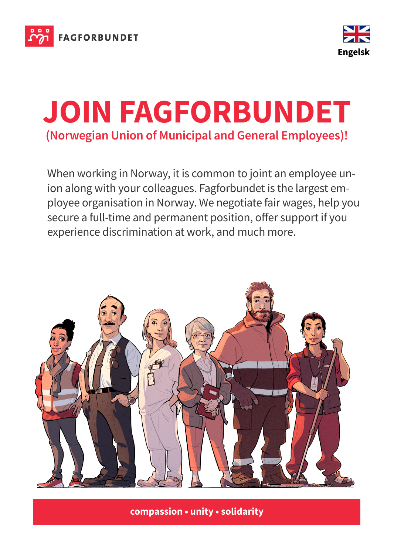



## **JOIN FAGFORBUNDET (Norwegian Union of Municipal and General Employees)!**

When working in Norway, it is common to joint an employee union along with your colleagues. Fagforbundet is the largest employee organisation in Norway. We negotiate fair wages, help you secure a full-time and permanent position, offer support if you experience discrimination at work, and much more.



**compassion • unity • solidarity**